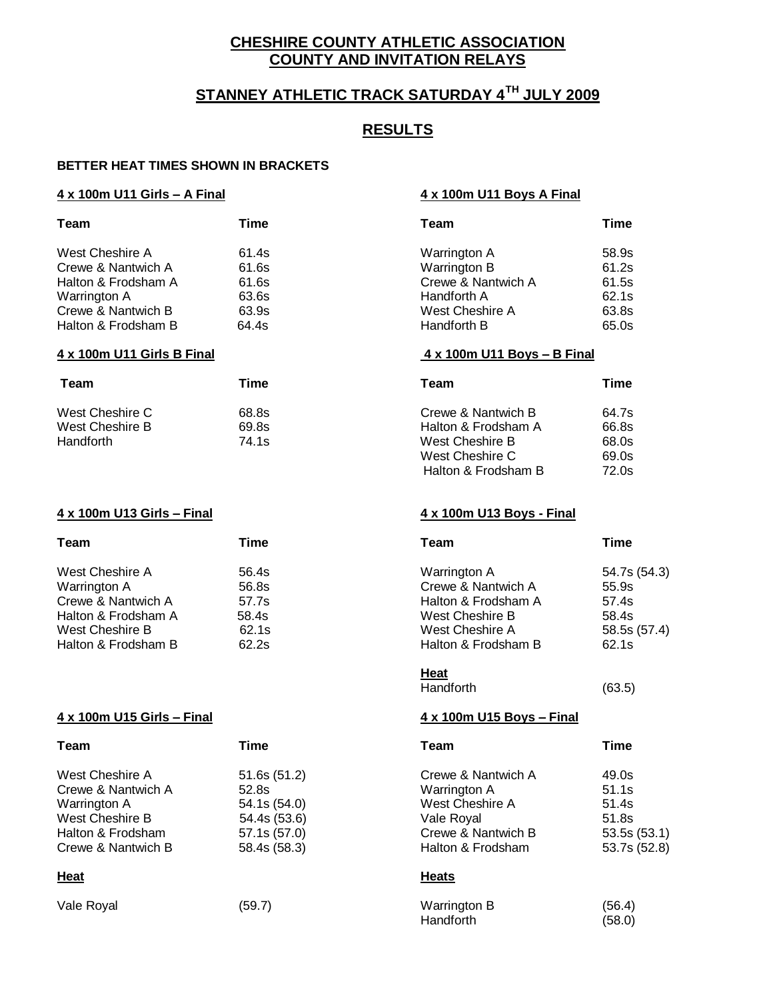# **CHESHIRE COUNTY ATHLETIC ASSOCIATION COUNTY AND INVITATION RELAYS**

# **STANNEY ATHLETIC TRACK SATURDAY 4TH JULY 2009**

## **RESULTS**

### **BETTER HEAT TIMES SHOWN IN BRACKETS**

### **4 x 100m U11 Girls – A Final 4 x 100m U11 Boys A Final**

| Team                       | Time  | Team                        | <b>Time</b> |
|----------------------------|-------|-----------------------------|-------------|
| West Cheshire A            | 61.4s | Warrington A                | 58.9s       |
| Crewe & Nantwich A         | 61.6s | Warrington B                | 61.2s       |
| Halton & Frodsham A        | 61.6s | Crewe & Nantwich A          | 61.5s       |
| Warrington A               | 63.6s | Handforth A                 | 62.1s       |
| Crewe & Nantwich B         | 63.9s | West Cheshire A             | 63.8s       |
| Halton & Frodsham B        | 64.4s | Handforth B                 | 65.0s       |
|                            |       |                             |             |
| 4 x 100m U11 Girls B Final |       | 4 x 100m U11 Boys - B Final |             |
| Team                       | Time  | Team                        | <b>Time</b> |
| West Cheshire C            | 68.8s | Crewe & Nantwich B          | 64.7s       |
| West Cheshire B            | 69.8s | Halton & Frodsham A         | 66.8s       |
| Handforth                  | 74.1s | West Cheshire B             | 68.0s       |

### **4 x 100m U13 Girls – Final 4 x 100m U13 Boys - Final**

| Team                                                                                                                   | Time                                               | Team                                                                                                                   | Time                                                             |
|------------------------------------------------------------------------------------------------------------------------|----------------------------------------------------|------------------------------------------------------------------------------------------------------------------------|------------------------------------------------------------------|
| West Cheshire A<br>Warrington A<br>Crewe & Nantwich A<br>Halton & Frodsham A<br>West Cheshire B<br>Halton & Frodsham B | 56.4s<br>56.8s<br>57.7s<br>58.4s<br>62.1s<br>62.2s | Warrington A<br>Crewe & Nantwich A<br>Halton & Frodsham A<br>West Cheshire B<br>West Cheshire A<br>Halton & Frodsham B | 54.7s (54.3)<br>55.9s<br>57.4s<br>58.4s<br>58.5s (57.4)<br>62.1s |
|                                                                                                                        |                                                    |                                                                                                                        |                                                                  |

### **4 x 100m U15 Girls – Final 4 x 100m U15 Boys – Final**

| Team               | Time         | Team               | <b>Time</b>  |
|--------------------|--------------|--------------------|--------------|
| West Cheshire A    | 51.6s(51.2)  | Crewe & Nantwich A | 49.0s        |
| Crewe & Nantwich A | 52.8s        | Warrington A       | 51.1s        |
| Warrington A       | 54.1s (54.0) | West Cheshire A    | 51.4s        |
| West Cheshire B    | 54.4s (53.6) | Vale Royal         | 51.8s        |
| Halton & Frodsham  | 57.1s (57.0) | Crewe & Nantwich B | 53.5s(53.1)  |
| Crewe & Nantwich B | 58.4s (58.3) | Halton & Frodsham  | 53.7s (52.8) |
| Heat               |              | <b>Heats</b>       |              |
| Vale Royal         | (59.7)       | Warrington B       | (56.4)       |

Handforth (63.5)

**Heat**

Halton & Frodsham B 72.0s

| Team               | <b>Time</b>  |  |
|--------------------|--------------|--|
| Crewe & Nantwich A | 49.0s        |  |
| Warrington A       | 51.1s        |  |
| West Cheshire A    | 51.4s        |  |
| Vale Royal         | 51.8s        |  |
| Crewe & Nantwich B | 53.5s (53.1) |  |
| Halton & Frodsham  | 53.7s (52.8) |  |
|                    |              |  |

| Warrington B     | (56.4) |
|------------------|--------|
| <b>Handforth</b> | (58.0) |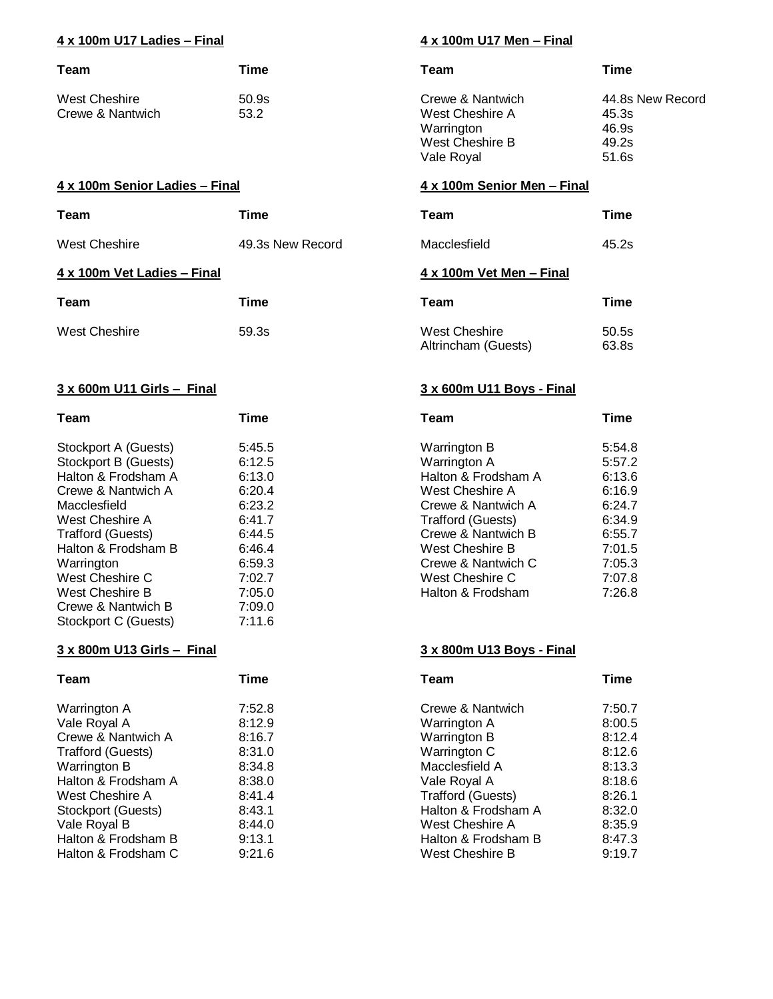### **4 x 100m U17 Ladies – Final 4 x 100m U17 Men – Final**

| Team             | Time  | Team             | Time  |
|------------------|-------|------------------|-------|
| West Cheshire    | 50.9s | Crewe & Nantwich | 44.8s |
| Crewe & Nantwich | 53.2  | West Cheshire A  | 45.3s |

### **4 x 100m Senior Ladies – Final 4 x 100m Senior Men – Final**

| Team                        | <b>Time</b>      | Team                     | Time        |
|-----------------------------|------------------|--------------------------|-------------|
| West Cheshire               | 49.3s New Record | Macclesfield             | 45.2s       |
| 4 x 100m Vet Ladies - Final |                  | 4 x 100m Vet Men - Final |             |
| Team                        | Time             | Team                     | <b>Time</b> |
| <b>West Cheshire</b>        | 59.3s            | West Cheshire            | 50.5s       |

### **3 x 600m U11 Girls – Final 3 x 600m U11 Boys - Final**

| Team                     | <b>Time</b> | <b>Team</b>         | <b>Time</b> |
|--------------------------|-------------|---------------------|-------------|
| Stockport A (Guests)     | 5:45.5      | Warrington B        | 5:54.       |
| Stockport B (Guests)     | 6:12.5      | Warrington A        | 5:57.       |
| Halton & Frodsham A      | 6:13.0      | Halton & Frodsham A | 6:13.       |
| Crewe & Nantwich A       | 6:20.4      | West Cheshire A     | 6:16.       |
| Macclesfield             | 6:23.2      | Crewe & Nantwich A  | 6:24.       |
| West Cheshire A          | 6:41.7      | Trafford (Guests)   | 6:34.9      |
| <b>Trafford (Guests)</b> | 6:44.5      | Crewe & Nantwich B  | 6:55.       |
| Halton & Frodsham B      | 6:46.4      | West Cheshire B     | 7:01.9      |
| Warrington               | 6:59.3      | Crewe & Nantwich C  | 7:05.       |
| West Cheshire C          | 7:02.7      | West Cheshire C     | 7:07.       |
| West Cheshire B          | 7:05.0      | Halton & Frodsham   | 7:26.       |
| Crewe & Nantwich B       | 7:09.0      |                     |             |
| Stockport C (Guests)     | 7:11.6      |                     |             |

### **3 x 800m U13 Girls – Final 3 x 800m U13 Boys - Final**

| <b>Team</b>              | Time   |
|--------------------------|--------|
| Warrington A             | 7:52.  |
| Vale Royal A             | 8:12.  |
| Crewe & Nantwich A       | 8:16.7 |
| <b>Trafford (Guests)</b> | 8:31.  |
| Warrington B             | 8:34.  |
| Halton & Frodsham A      | 8:38.  |
| West Cheshire A          | 8:41.4 |
| Stockport (Guests)       | 8:43.  |
| Vale Royal B             | 8:44.  |
| Halton & Frodsham B      | 9:13.  |
| Halton & Frodsham C      | 9:21.  |

| Team                 | Time   | Team                     | Time   |
|----------------------|--------|--------------------------|--------|
| Stockport A (Guests) | 5:45.5 | Warrington B             | 5:54.8 |
| Stockport B (Guests) | 6:12.5 | Warrington A             | 5:57.2 |
| Halton & Frodsham A  | 6:13.0 | Halton & Frodsham A      | 6:13.6 |
| Crewe & Nantwich A   | 6:20.4 | West Cheshire A          | 6:16.9 |
| Macclesfield         | 6:23.2 | Crewe & Nantwich A       | 6:24.7 |
| West Cheshire A      | 6:41.7 | <b>Trafford (Guests)</b> | 6:34.9 |
| Trafford (Guests)    | 6:44.5 | Crewe & Nantwich B       | 6:55.7 |
| Halton & Frodsham B  | 6:46.4 | West Cheshire B          | 7:01.5 |
| Warrington           | 6:59.3 | Crewe & Nantwich C       | 7:05.3 |
| West Cheshire C      | 7:02.7 | West Cheshire C          | 7:07.8 |
| West Cheshire B      | 7:05.0 | Halton & Frodsham        | 7:26.8 |

Altrincham (Guests) 63.8s

| Team                | Time   | Team                     | Time   |
|---------------------|--------|--------------------------|--------|
| Warrington A        | 7:52.8 | Crewe & Nantwich         | 7:50.7 |
| Vale Royal A        | 8:12.9 | Warrington A             | 8:00.5 |
| Crewe & Nantwich A  | 8:16.7 | Warrington B             | 8:12.4 |
| Trafford (Guests)   | 8:31.0 | Warrington C             | 8:12.6 |
| Warrington B        | 8:34.8 | Macclesfield A           | 8:13.3 |
| Halton & Frodsham A | 8:38.0 | Vale Royal A             | 8:18.6 |
| West Cheshire A     | 8:41.4 | <b>Trafford (Guests)</b> | 8:26.1 |
| Stockport (Guests)  | 8:43.1 | Halton & Frodsham A      | 8:32.0 |
| Vale Royal B        | 8:44.0 | West Cheshire A          | 8:35.9 |
| Halton & Frodsham B | 9:13.1 | Halton & Frodsham B      | 8:47.3 |
| Halton & Frodsham C | 9:21.6 | West Cheshire B          | 9:19.7 |

Warrington

Crewe & Nantwich 44.8s New Record

West Cheshire A 45.3s<br>Warrington 46.9s

West Cheshire B 49.2s Vale Royal 51.6s